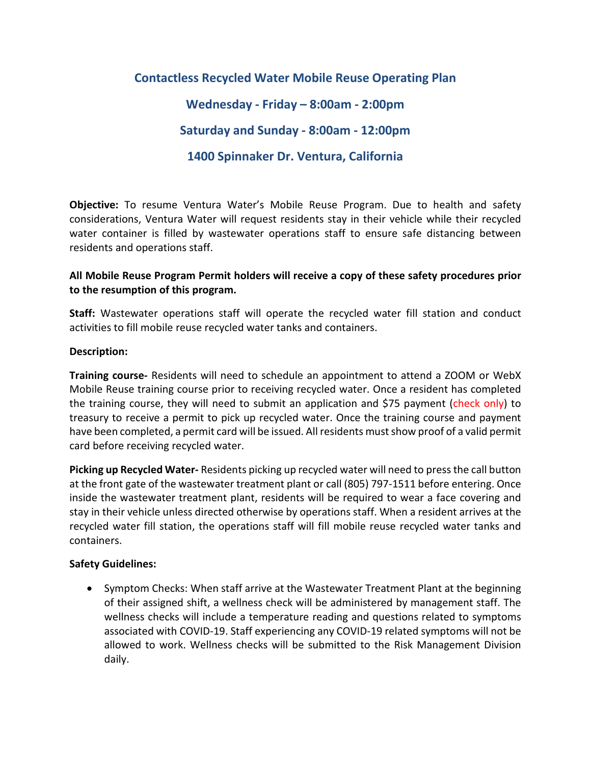## **Contactless Recycled Water Mobile Reuse Operating Plan Wednesday - Friday – 8:00am - 2:00pm Saturday and Sunday - 8:00am - 12:00pm 1400 Spinnaker Dr. Ventura, California**

**Objective:** To resume Ventura Water's Mobile Reuse Program. Due to health and safety considerations, Ventura Water will request residents stay in their vehicle while their recycled water container is filled by wastewater operations staff to ensure safe distancing between residents and operations staff.

## **All Mobile Reuse Program Permit holders will receive a copy of these safety procedures prior to the resumption of this program.**

**Staff:** Wastewater operations staff will operate the recycled water fill station and conduct activities to fill mobile reuse recycled water tanks and containers.

## **Description:**

**Training course-** Residents will need to schedule an appointment to attend a ZOOM or WebX Mobile Reuse training course prior to receiving recycled water. Once a resident has completed the training course, they will need to submit an application and \$75 payment (check only) to treasury to receive a permit to pick up recycled water. Once the training course and payment have been completed, a permit card will be issued. All residents must show proof of a valid permit card before receiving recycled water.

**Picking up Recycled Water-** Residents picking up recycled water will need to press the call button at the front gate of the wastewater treatment plant or call (805) 797-1511 before entering. Once inside the wastewater treatment plant, residents will be required to wear a face covering and stay in their vehicle unless directed otherwise by operations staff. When a resident arrives at the recycled water fill station, the operations staff will fill mobile reuse recycled water tanks and containers.

## **Safety Guidelines:**

• Symptom Checks: When staff arrive at the Wastewater Treatment Plant at the beginning of their assigned shift, a wellness check will be administered by management staff. The wellness checks will include a temperature reading and questions related to symptoms associated with COVID-19. Staff experiencing any COVID-19 related symptoms will not be allowed to work. Wellness checks will be submitted to the Risk Management Division daily.